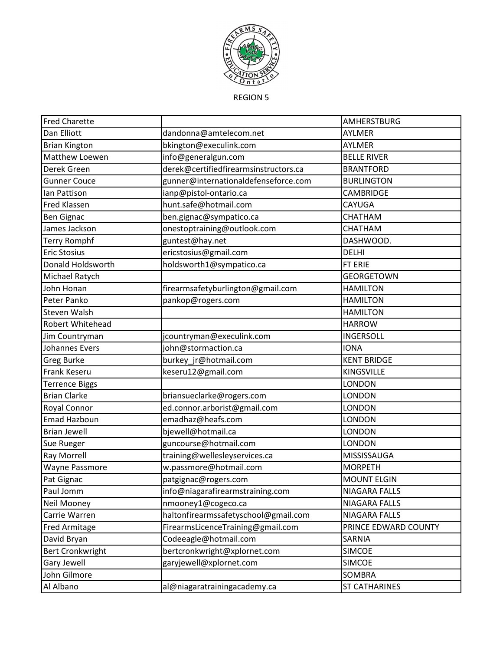

REGION 5

| <b>Fred Charette</b>    |                                       | AMHERSTBURG          |
|-------------------------|---------------------------------------|----------------------|
| Dan Elliott             | dandonna@amtelecom.net                | AYLMER               |
| <b>Brian Kington</b>    | bkington@execulink.com                | AYLMER               |
| Matthew Loewen          | info@generalgun.com                   | <b>BELLE RIVER</b>   |
| Derek Green             | derek@certifiedfirearmsinstructors.ca | <b>BRANTFORD</b>     |
| <b>Gunner Couce</b>     | gunner@internationaldefenseforce.com  | <b>BURLINGTON</b>    |
| lan Pattison            | ianp@pistol-ontario.ca                | CAMBRIDGE            |
| <b>Fred Klassen</b>     | hunt.safe@hotmail.com                 | CAYUGA               |
| <b>Ben Gignac</b>       | ben.gignac@sympatico.ca               | CHATHAM              |
| James Jackson           | onestoptraining@outlook.com           | CHATHAM              |
| <b>Terry Romphf</b>     | guntest@hay.net                       | DASHWOOD.            |
| <b>Eric Stosius</b>     | ericstosius@gmail.com                 | <b>DELHI</b>         |
| Donald Holdsworth       | holdsworth1@sympatico.ca              | FT ERIE              |
| Michael Ratych          |                                       | <b>GEORGETOWN</b>    |
| John Honan              | firearmsafetyburlington@gmail.com     | <b>HAMILTON</b>      |
| Peter Panko             | pankop@rogers.com                     | <b>HAMILTON</b>      |
| <b>Steven Walsh</b>     |                                       | <b>HAMILTON</b>      |
| Robert Whitehead        |                                       | <b>HARROW</b>        |
| Jim Countryman          | jcountryman@execulink.com             | <b>INGERSOLL</b>     |
| <b>Johannes Evers</b>   | john@stormaction.ca                   | <b>IONA</b>          |
| <b>Greg Burke</b>       | burkey_jr@hotmail.com                 | <b>KENT BRIDGE</b>   |
| Frank Keseru            | keseru12@gmail.com                    | <b>KINGSVILLE</b>    |
| <b>Terrence Biggs</b>   |                                       | LONDON               |
| <b>Brian Clarke</b>     | briansueclarke@rogers.com             | <b>LONDON</b>        |
| Royal Connor            | ed.connor.arborist@gmail.com          | <b>LONDON</b>        |
| Emad Hazboun            | emadhaz@heafs.com                     | <b>LONDON</b>        |
| <b>Brian Jewell</b>     | bjewell@hotmail.ca                    | <b>LONDON</b>        |
| Sue Rueger              | guncourse@hotmail.com                 | <b>LONDON</b>        |
| <b>Ray Morrell</b>      | training@wellesleyservices.ca         | MISSISSAUGA          |
| <b>Wayne Passmore</b>   | w.passmore@hotmail.com                | <b>MORPETH</b>       |
| Pat Gignac              | patgignac@rogers.com                  | <b>MOUNT ELGIN</b>   |
| Paul Jomm               | info@niagarafirearmstraining.com      | <b>NIAGARA FALLS</b> |
| Neil Mooney             | nmooney1@cogeco.ca                    | <b>NIAGARA FALLS</b> |
| Carrie Warren           | haltonfirearmssafetyschool@gmail.com  | NIAGARA FALLS        |
| Fred Armitage           | FirearmsLicenceTraining@gmail.com     | PRINCE EDWARD COUNTY |
| David Bryan             | Codeeagle@hotmail.com                 | SARNIA               |
| <b>Bert Cronkwright</b> | bertcronkwright@xplornet.com          | <b>SIMCOE</b>        |
| Gary Jewell             | garyjewell@xplornet.com               | <b>SIMCOE</b>        |
| John Gilmore            |                                       | SOMBRA               |
| Al Albano               | al@niagaratrainingacademy.ca          | <b>ST CATHARINES</b> |